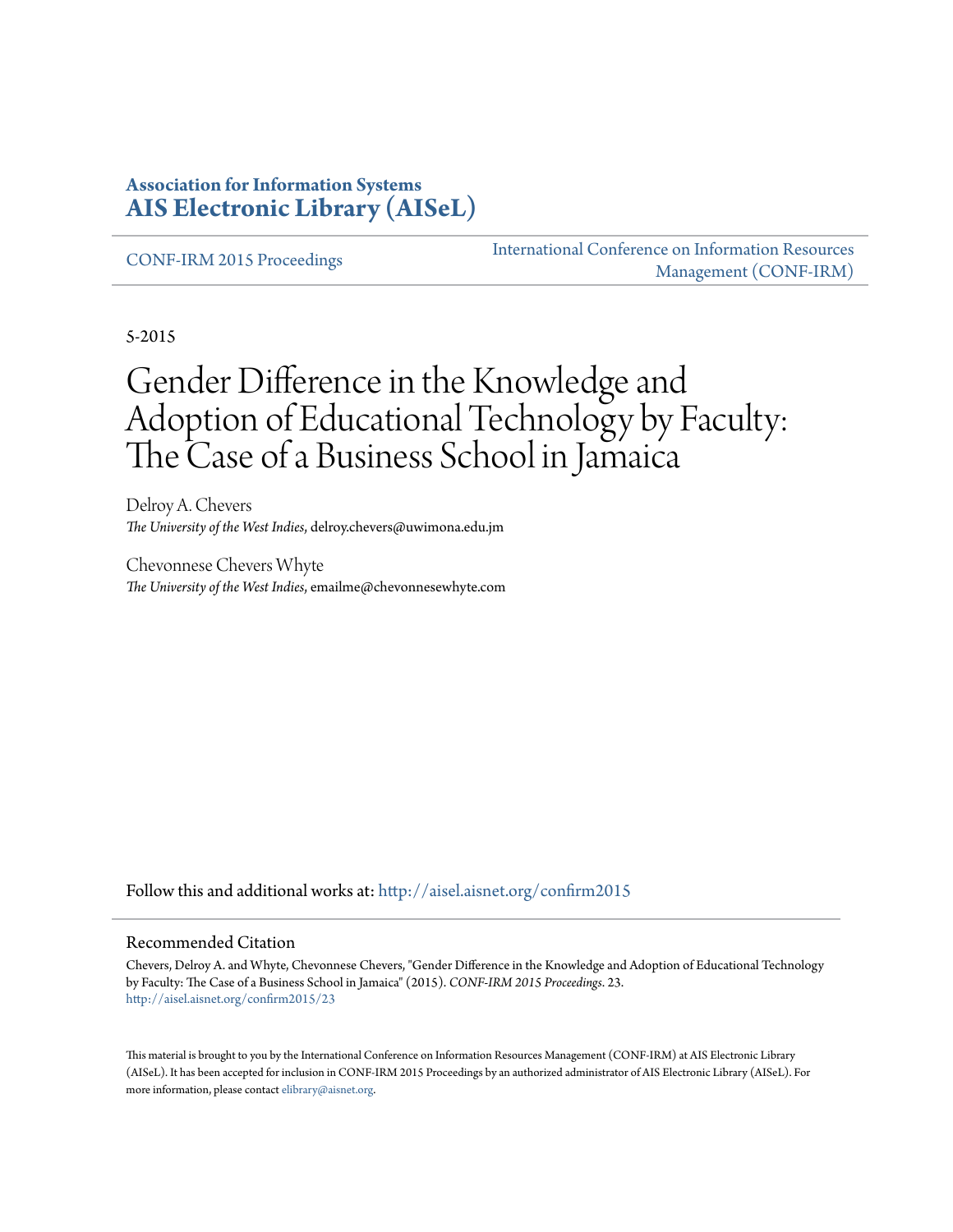#### **Association for Information Systems [AIS Electronic Library \(AISeL\)](http://aisel.aisnet.org?utm_source=aisel.aisnet.org%2Fconfirm2015%2F23&utm_medium=PDF&utm_campaign=PDFCoverPages)**

[CONF-IRM 2015 Proceedings](http://aisel.aisnet.org/confirm2015?utm_source=aisel.aisnet.org%2Fconfirm2015%2F23&utm_medium=PDF&utm_campaign=PDFCoverPages)

[International Conference on Information Resources](http://aisel.aisnet.org/conf-irm?utm_source=aisel.aisnet.org%2Fconfirm2015%2F23&utm_medium=PDF&utm_campaign=PDFCoverPages) [Management \(CONF-IRM\)](http://aisel.aisnet.org/conf-irm?utm_source=aisel.aisnet.org%2Fconfirm2015%2F23&utm_medium=PDF&utm_campaign=PDFCoverPages)

5-2015

# Gender Difference in the Knowledge and Adoption of Educational Technology by Faculty: The Case of a Business School in Jamaica

Delroy A. Chevers *The University of the West Indies*, delroy.chevers@uwimona.edu.jm

Chevonnese Chevers Whyte *The University of the West Indies*, emailme@chevonnesewhyte.com

Follow this and additional works at: [http://aisel.aisnet.org/confirm2015](http://aisel.aisnet.org/confirm2015?utm_source=aisel.aisnet.org%2Fconfirm2015%2F23&utm_medium=PDF&utm_campaign=PDFCoverPages)

#### Recommended Citation

Chevers, Delroy A. and Whyte, Chevonnese Chevers, "Gender Difference in the Knowledge and Adoption of Educational Technology by Faculty: The Case of a Business School in Jamaica" (2015). *CONF-IRM 2015 Proceedings*. 23. [http://aisel.aisnet.org/confirm2015/23](http://aisel.aisnet.org/confirm2015/23?utm_source=aisel.aisnet.org%2Fconfirm2015%2F23&utm_medium=PDF&utm_campaign=PDFCoverPages)

This material is brought to you by the International Conference on Information Resources Management (CONF-IRM) at AIS Electronic Library (AISeL). It has been accepted for inclusion in CONF-IRM 2015 Proceedings by an authorized administrator of AIS Electronic Library (AISeL). For more information, please contact [elibrary@aisnet.org.](mailto:elibrary@aisnet.org%3E)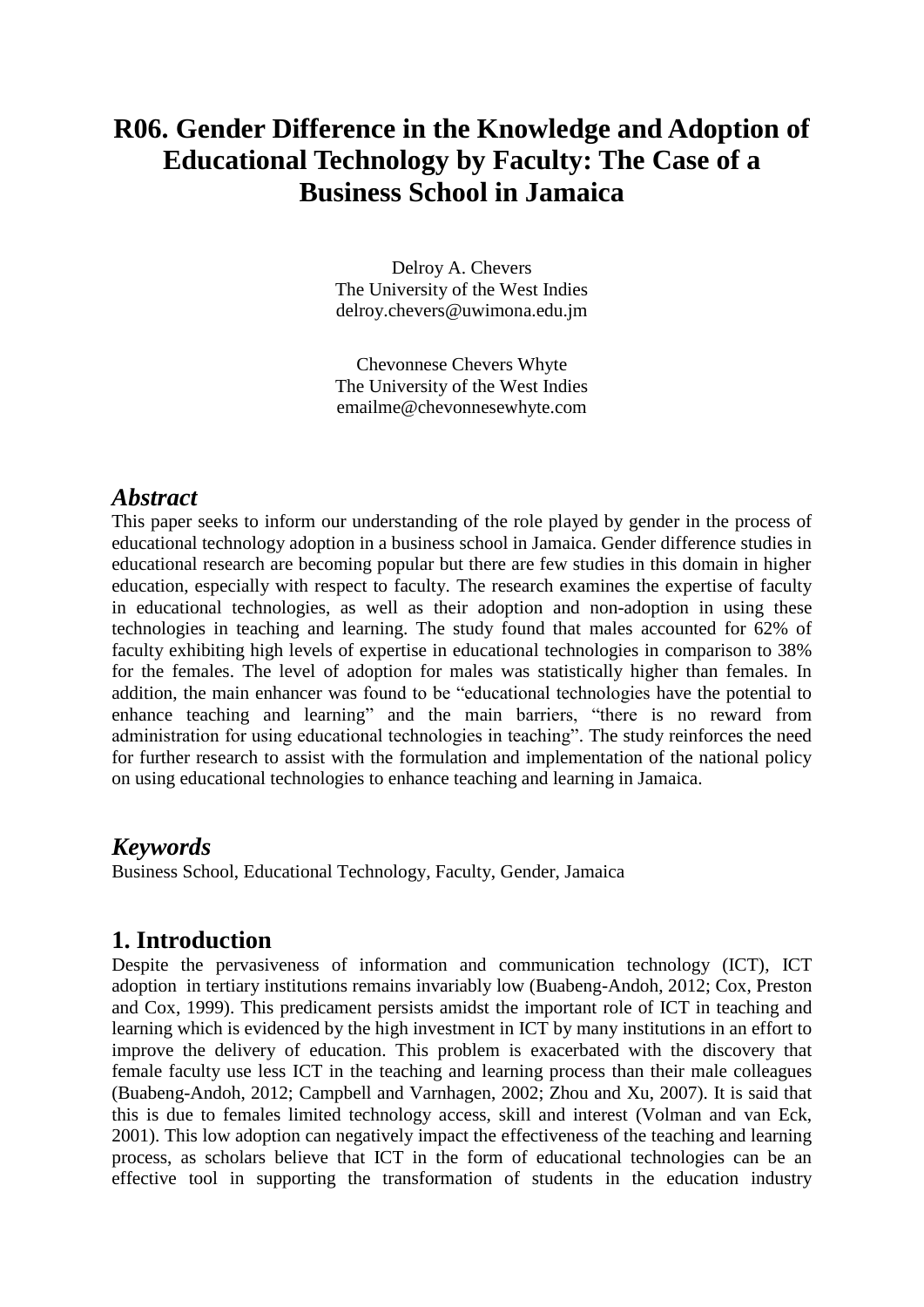## **R06. Gender Difference in the Knowledge and Adoption of Educational Technology by Faculty: The Case of a Business School in Jamaica**

Delroy A. Chevers The University of the West Indies [delroy.chevers@uwimona.edu.jm](mailto:delroy.chevers@uwimona.edu.jm)

Chevonnese Chevers Whyte The University of the West Indies [emailme@chevonnesewhyte.com](mailto:emailme@chevonnesewhyte.com)

#### *Abstract*

This paper seeks to inform our understanding of the role played by gender in the process of educational technology adoption in a business school in Jamaica. Gender difference studies in educational research are becoming popular but there are few studies in this domain in higher education, especially with respect to faculty. The research examines the expertise of faculty in educational technologies, as well as their adoption and non-adoption in using these technologies in teaching and learning. The study found that males accounted for 62% of faculty exhibiting high levels of expertise in educational technologies in comparison to 38% for the females. The level of adoption for males was statistically higher than females. In addition, the main enhancer was found to be "educational technologies have the potential to enhance teaching and learning" and the main barriers, "there is no reward from administration for using educational technologies in teaching". The study reinforces the need for further research to assist with the formulation and implementation of the national policy on using educational technologies to enhance teaching and learning in Jamaica.

#### *Keywords*

Business School, Educational Technology, Faculty, Gender, Jamaica

#### **1. Introduction**

Despite the pervasiveness of information and communication technology (ICT), ICT adoption in tertiary institutions remains invariably low (Buabeng-Andoh, 2012; Cox, Preston and Cox, 1999). This predicament persists amidst the important role of ICT in teaching and learning which is evidenced by the high investment in ICT by many institutions in an effort to improve the delivery of education. This problem is exacerbated with the discovery that female faculty use less ICT in the teaching and learning process than their male colleagues (Buabeng-Andoh, 2012; Campbell and Varnhagen, 2002; Zhou and Xu, 2007). It is said that this is due to females limited technology access, skill and interest (Volman and van Eck, 2001). This low adoption can negatively impact the effectiveness of the teaching and learning process, as scholars believe that ICT in the form of educational technologies can be an effective tool in supporting the transformation of students in the education industry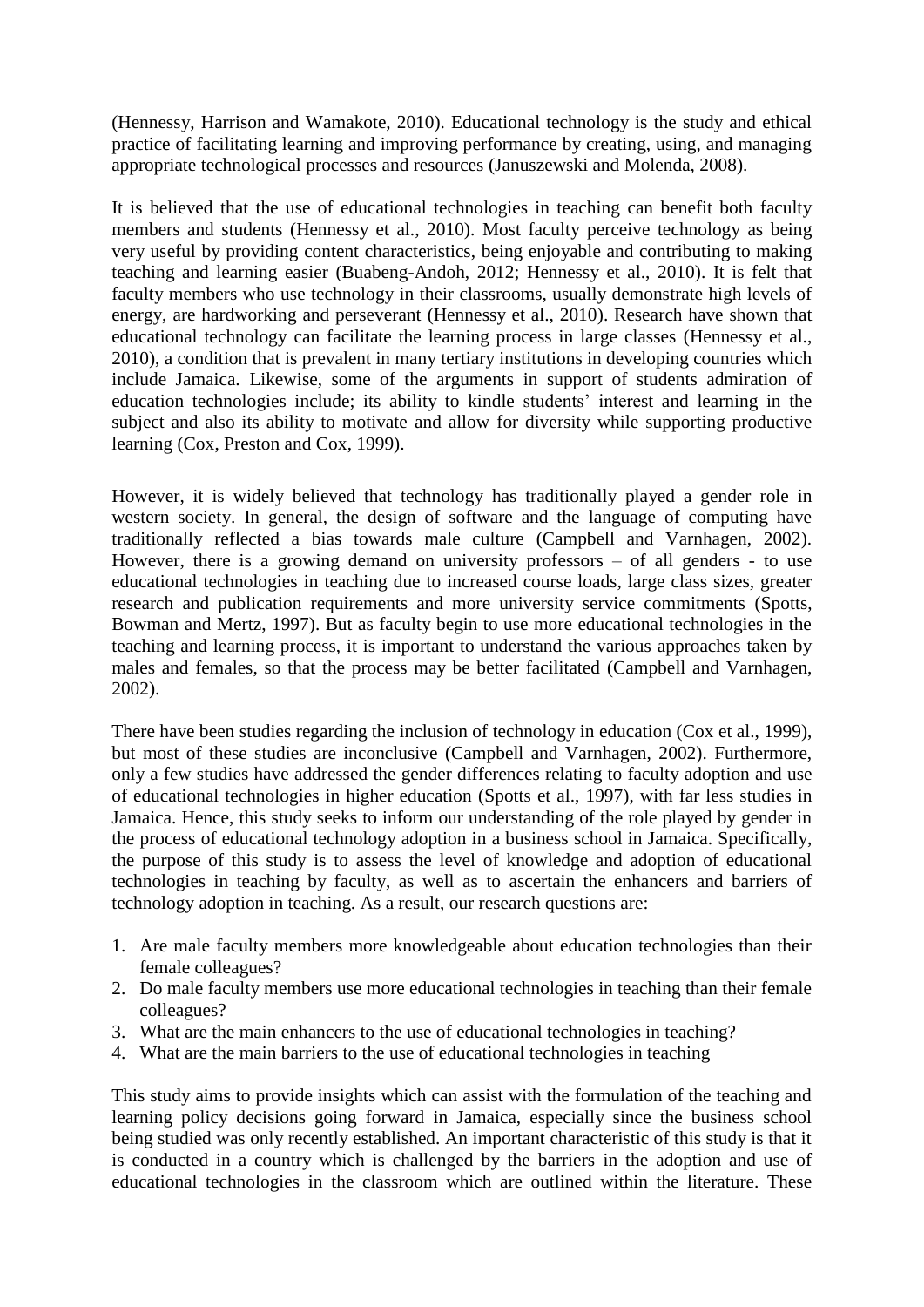(Hennessy, Harrison and Wamakote, 2010). Educational technology is the study and ethical practice of facilitating learning and improving performance by creating, using, and managing appropriate technological processes and resources (Januszewski and Molenda, 2008).

It is believed that the use of educational technologies in teaching can benefit both faculty members and students (Hennessy et al., 2010). Most faculty perceive technology as being very useful by providing content characteristics, being enjoyable and contributing to making teaching and learning easier (Buabeng-Andoh, 2012; Hennessy et al., 2010). It is felt that faculty members who use technology in their classrooms, usually demonstrate high levels of energy, are hardworking and perseverant (Hennessy et al., 2010). Research have shown that educational technology can facilitate the learning process in large classes (Hennessy et al., 2010), a condition that is prevalent in many tertiary institutions in developing countries which include Jamaica. Likewise, some of the arguments in support of students admiration of education technologies include; its ability to kindle students' interest and learning in the subject and also its ability to motivate and allow for diversity while supporting productive learning (Cox, Preston and Cox, 1999).

However, it is widely believed that technology has traditionally played a gender role in western society. In general, the design of software and the language of computing have traditionally reflected a bias towards male culture (Campbell and Varnhagen, 2002). However, there is a growing demand on university professors – of all genders - to use educational technologies in teaching due to increased course loads, large class sizes, greater research and publication requirements and more university service commitments (Spotts, Bowman and Mertz, 1997). But as faculty begin to use more educational technologies in the teaching and learning process, it is important to understand the various approaches taken by males and females, so that the process may be better facilitated (Campbell and Varnhagen, 2002).

There have been studies regarding the inclusion of technology in education (Cox et al., 1999), but most of these studies are inconclusive (Campbell and Varnhagen, 2002). Furthermore, only a few studies have addressed the gender differences relating to faculty adoption and use of educational technologies in higher education (Spotts et al., 1997), with far less studies in Jamaica. Hence, this study seeks to inform our understanding of the role played by gender in the process of educational technology adoption in a business school in Jamaica. Specifically, the purpose of this study is to assess the level of knowledge and adoption of educational technologies in teaching by faculty, as well as to ascertain the enhancers and barriers of technology adoption in teaching. As a result, our research questions are:

- 1. Are male faculty members more knowledgeable about education technologies than their female colleagues?
- 2. Do male faculty members use more educational technologies in teaching than their female colleagues?
- 3. What are the main enhancers to the use of educational technologies in teaching?
- 4. What are the main barriers to the use of educational technologies in teaching

This study aims to provide insights which can assist with the formulation of the teaching and learning policy decisions going forward in Jamaica, especially since the business school being studied was only recently established. An important characteristic of this study is that it is conducted in a country which is challenged by the barriers in the adoption and use of educational technologies in the classroom which are outlined within the literature. These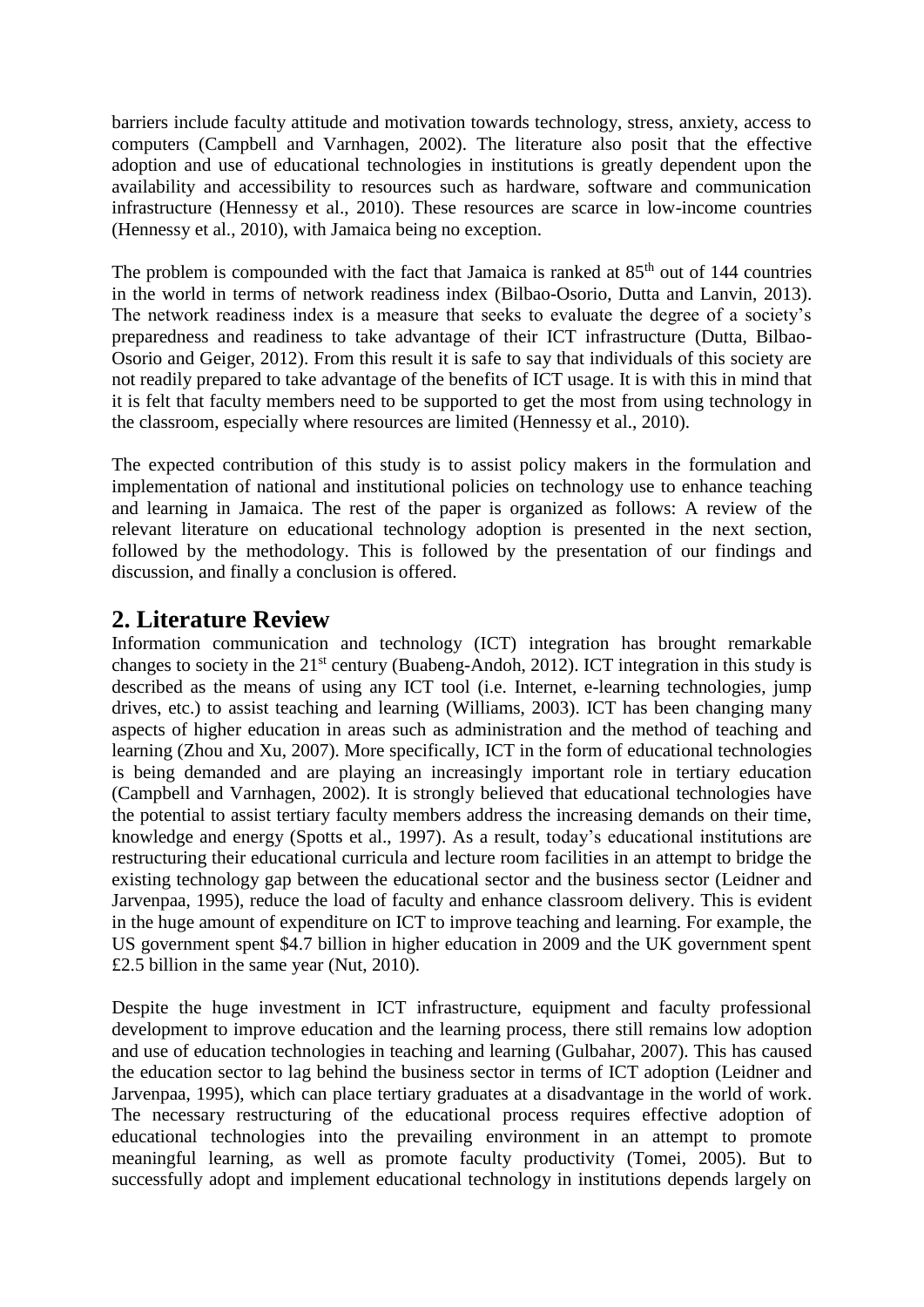barriers include faculty attitude and motivation towards technology, stress, anxiety, access to computers (Campbell and Varnhagen, 2002). The literature also posit that the effective adoption and use of educational technologies in institutions is greatly dependent upon the availability and accessibility to resources such as hardware, software and communication infrastructure (Hennessy et al., 2010). These resources are scarce in low-income countries (Hennessy et al., 2010), with Jamaica being no exception.

The problem is compounded with the fact that Jamaica is ranked at  $85<sup>th</sup>$  out of 144 countries in the world in terms of network readiness index (Bilbao-Osorio, Dutta and Lanvin, 2013). The network readiness index is a measure that seeks to evaluate the degree of a society's preparedness and readiness to take advantage of their ICT infrastructure (Dutta, Bilbao-Osorio and Geiger, 2012). From this result it is safe to say that individuals of this society are not readily prepared to take advantage of the benefits of ICT usage. It is with this in mind that it is felt that faculty members need to be supported to get the most from using technology in the classroom, especially where resources are limited (Hennessy et al., 2010).

The expected contribution of this study is to assist policy makers in the formulation and implementation of national and institutional policies on technology use to enhance teaching and learning in Jamaica. The rest of the paper is organized as follows: A review of the relevant literature on educational technology adoption is presented in the next section, followed by the methodology. This is followed by the presentation of our findings and discussion, and finally a conclusion is offered.

### **2. Literature Review**

Information communication and technology (ICT) integration has brought remarkable changes to society in the  $21<sup>st</sup>$  century (Buabeng-Andoh, 2012). ICT integration in this study is described as the means of using any ICT tool (i.e. Internet, e-learning technologies, jump drives, etc.) to assist teaching and learning (Williams, 2003). ICT has been changing many aspects of higher education in areas such as administration and the method of teaching and learning (Zhou and Xu, 2007). More specifically, ICT in the form of educational technologies is being demanded and are playing an increasingly important role in tertiary education (Campbell and Varnhagen, 2002). It is strongly believed that educational technologies have the potential to assist tertiary faculty members address the increasing demands on their time, knowledge and energy (Spotts et al., 1997). As a result, today's educational institutions are restructuring their educational curricula and lecture room facilities in an attempt to bridge the existing technology gap between the educational sector and the business sector (Leidner and Jarvenpaa, 1995), reduce the load of faculty and enhance classroom delivery. This is evident in the huge amount of expenditure on ICT to improve teaching and learning. For example, the US government spent \$4.7 billion in higher education in 2009 and the UK government spent £2.5 billion in the same year (Nut, 2010).

Despite the huge investment in ICT infrastructure, equipment and faculty professional development to improve education and the learning process, there still remains low adoption and use of education technologies in teaching and learning (Gulbahar, 2007). This has caused the education sector to lag behind the business sector in terms of ICT adoption (Leidner and Jarvenpaa, 1995), which can place tertiary graduates at a disadvantage in the world of work. The necessary restructuring of the educational process requires effective adoption of educational technologies into the prevailing environment in an attempt to promote meaningful learning, as well as promote faculty productivity (Tomei, 2005). But to successfully adopt and implement educational technology in institutions depends largely on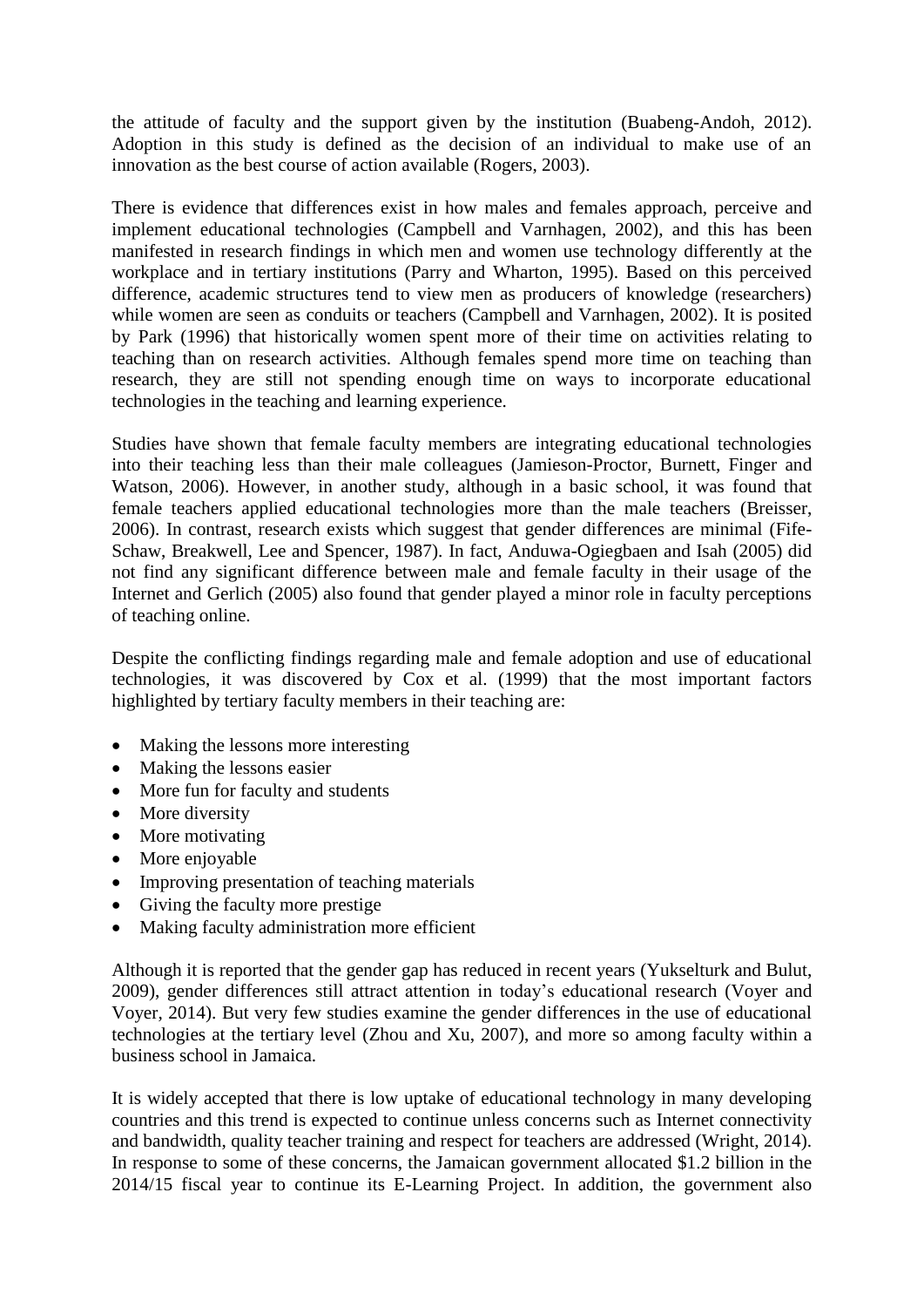the attitude of faculty and the support given by the institution (Buabeng-Andoh, 2012). Adoption in this study is defined as the decision of an individual to make use of an innovation as the best course of action available (Rogers, 2003).

There is evidence that differences exist in how males and females approach, perceive and implement educational technologies (Campbell and Varnhagen, 2002), and this has been manifested in research findings in which men and women use technology differently at the workplace and in tertiary institutions (Parry and Wharton, 1995). Based on this perceived difference, academic structures tend to view men as producers of knowledge (researchers) while women are seen as conduits or teachers (Campbell and Varnhagen, 2002). It is posited by Park (1996) that historically women spent more of their time on activities relating to teaching than on research activities. Although females spend more time on teaching than research, they are still not spending enough time on ways to incorporate educational technologies in the teaching and learning experience.

Studies have shown that female faculty members are integrating educational technologies into their teaching less than their male colleagues (Jamieson-Proctor, Burnett, Finger and Watson, 2006). However, in another study, although in a basic school, it was found that female teachers applied educational technologies more than the male teachers (Breisser, 2006). In contrast, research exists which suggest that gender differences are minimal (Fife-Schaw, Breakwell, Lee and Spencer, 1987). In fact, Anduwa-Ogiegbaen and Isah (2005) did not find any significant difference between male and female faculty in their usage of the Internet and Gerlich (2005) also found that gender played a minor role in faculty perceptions of teaching online.

Despite the conflicting findings regarding male and female adoption and use of educational technologies, it was discovered by Cox et al. (1999) that the most important factors highlighted by tertiary faculty members in their teaching are:

- Making the lessons more interesting
- Making the lessons easier
- More fun for faculty and students
- More diversity
- More motivating
- More enjoyable
- Improving presentation of teaching materials
- Giving the faculty more prestige
- Making faculty administration more efficient

Although it is reported that the gender gap has reduced in recent years (Yukselturk and Bulut, 2009), gender differences still attract attention in today's educational research (Voyer and Voyer, 2014). But very few studies examine the gender differences in the use of educational technologies at the tertiary level (Zhou and Xu, 2007), and more so among faculty within a business school in Jamaica.

It is widely accepted that there is low uptake of educational technology in many developing countries and this trend is expected to continue unless concerns such as Internet connectivity and bandwidth, quality teacher training and respect for teachers are addressed (Wright, 2014). In response to some of these concerns, the Jamaican government allocated \$1.2 billion in the 2014/15 fiscal year to continue its E-Learning Project. In addition, the government also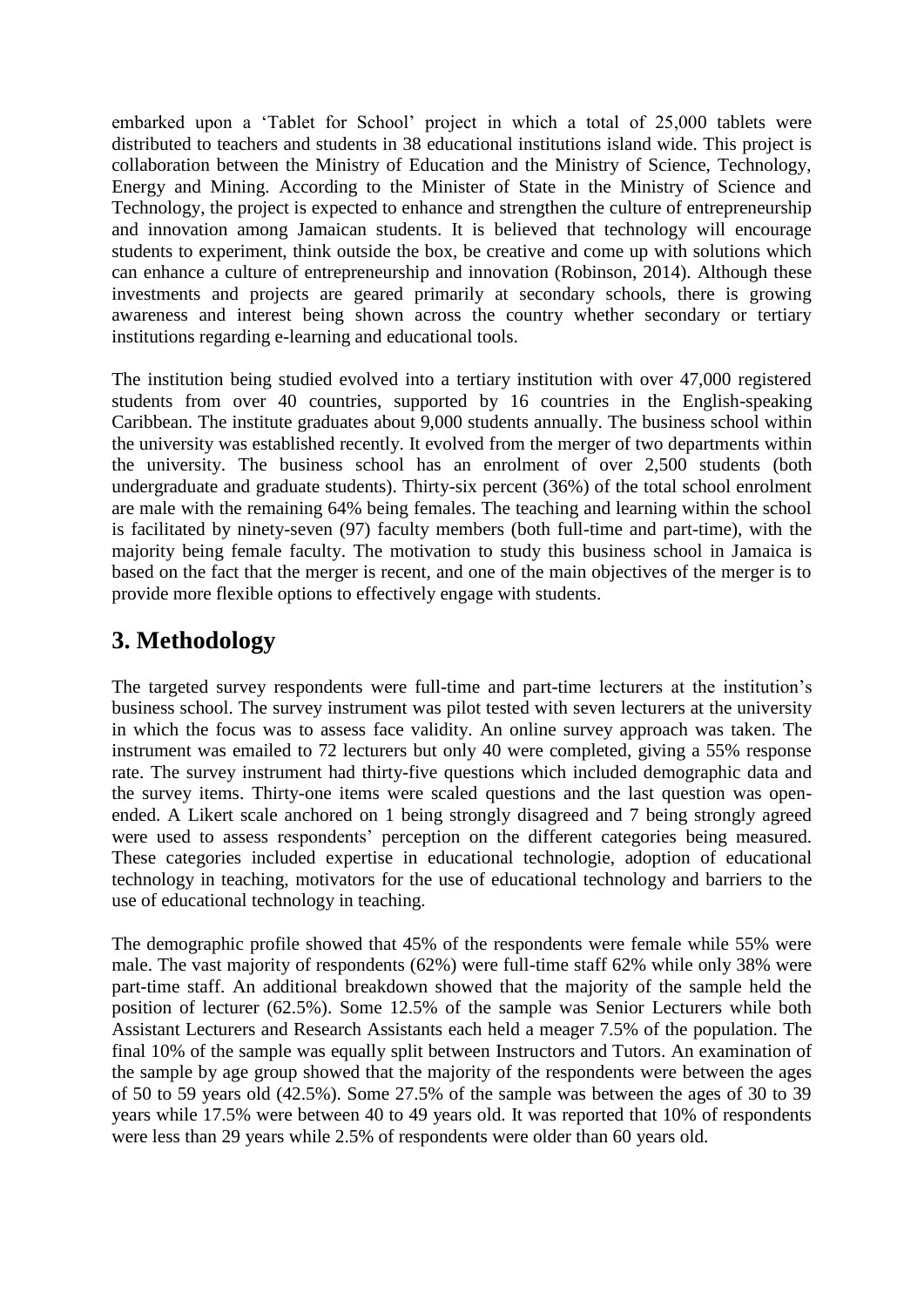embarked upon a 'Tablet for School' project in which a total of 25,000 tablets were distributed to teachers and students in 38 educational institutions island wide. This project is collaboration between the Ministry of Education and the Ministry of Science, Technology, Energy and Mining. According to the Minister of State in the Ministry of Science and Technology, the project is expected to enhance and strengthen the culture of entrepreneurship and innovation among Jamaican students. It is believed that technology will encourage students to experiment, think outside the box, be creative and come up with solutions which can enhance a culture of entrepreneurship and innovation (Robinson, 2014). Although these investments and projects are geared primarily at secondary schools, there is growing awareness and interest being shown across the country whether secondary or tertiary institutions regarding e-learning and educational tools.

The institution being studied evolved into a tertiary institution with over 47,000 registered students from over 40 countries, supported by 16 countries in the English-speaking Caribbean. The institute graduates about 9,000 students annually. The business school within the university was established recently. It evolved from the merger of two departments within the university. The business school has an enrolment of over 2,500 students (both undergraduate and graduate students). Thirty-six percent (36%) of the total school enrolment are male with the remaining 64% being females. The teaching and learning within the school is facilitated by ninety-seven (97) faculty members (both full-time and part-time), with the majority being female faculty. The motivation to study this business school in Jamaica is based on the fact that the merger is recent, and one of the main objectives of the merger is to provide more flexible options to effectively engage with students.

## **3. Methodology**

The targeted survey respondents were full-time and part-time lecturers at the institution's business school. The survey instrument was pilot tested with seven lecturers at the university in which the focus was to assess face validity. An online survey approach was taken. The instrument was emailed to 72 lecturers but only 40 were completed, giving a 55% response rate. The survey instrument had thirty-five questions which included demographic data and the survey items. Thirty-one items were scaled questions and the last question was openended. A Likert scale anchored on 1 being strongly disagreed and 7 being strongly agreed were used to assess respondents' perception on the different categories being measured. These categories included expertise in educational technologie, adoption of educational technology in teaching, motivators for the use of educational technology and barriers to the use of educational technology in teaching.

The demographic profile showed that 45% of the respondents were female while 55% were male. The vast majority of respondents (62%) were full-time staff 62% while only 38% were part-time staff. An additional breakdown showed that the majority of the sample held the position of lecturer (62.5%). Some 12.5% of the sample was Senior Lecturers while both Assistant Lecturers and Research Assistants each held a meager 7.5% of the population. The final 10% of the sample was equally split between Instructors and Tutors. An examination of the sample by age group showed that the majority of the respondents were between the ages of 50 to 59 years old (42.5%). Some 27.5% of the sample was between the ages of 30 to 39 years while 17.5% were between 40 to 49 years old. It was reported that 10% of respondents were less than 29 years while 2.5% of respondents were older than 60 years old.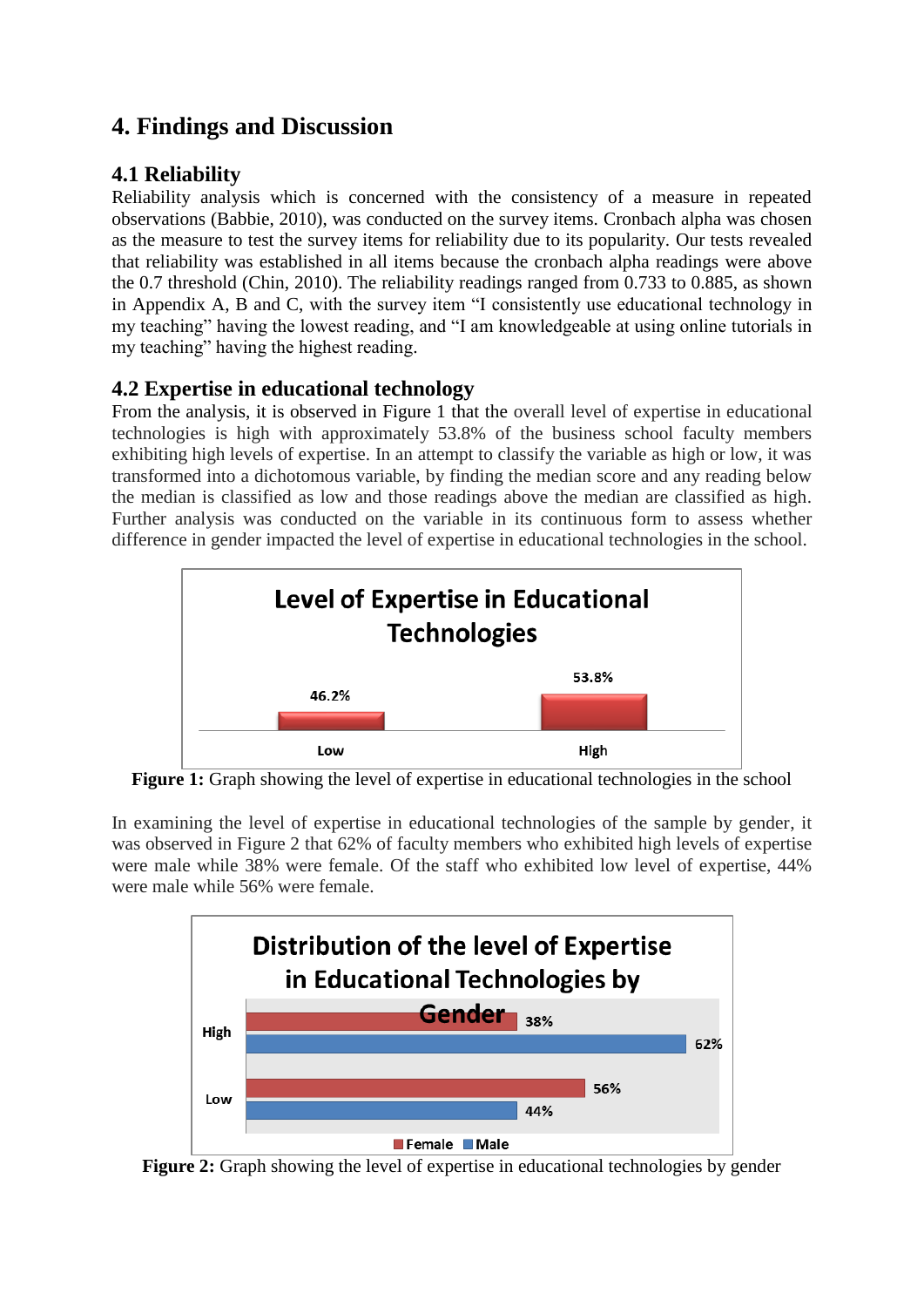## **4. Findings and Discussion**

#### **4.1 Reliability**

Reliability analysis which is concerned with the consistency of a measure in repeated observations (Babbie, 2010), was conducted on the survey items. Cronbach alpha was chosen as the measure to test the survey items for reliability due to its popularity. Our tests revealed that reliability was established in all items because the cronbach alpha readings were above the 0.7 threshold (Chin, 2010). The reliability readings ranged from 0.733 to 0.885, as shown in Appendix A, B and C, with the survey item "I consistently use educational technology in my teaching" having the lowest reading, and "I am knowledgeable at using online tutorials in my teaching" having the highest reading.

#### **4.2 Expertise in educational technology**

From the analysis, it is observed in Figure 1 that the overall level of expertise in educational technologies is high with approximately 53.8% of the business school faculty members exhibiting high levels of expertise. In an attempt to classify the variable as high or low, it was transformed into a dichotomous variable, by finding the median score and any reading below the median is classified as low and those readings above the median are classified as high. Further analysis was conducted on the variable in its continuous form to assess whether difference in gender impacted the level of expertise in educational technologies in the school.



**Figure 1:** Graph showing the level of expertise in educational technologies in the school

In examining the level of expertise in educational technologies of the sample by gender, it was observed in Figure 2 that 62% of faculty members who exhibited high levels of expertise were male while 38% were female. Of the staff who exhibited low level of expertise, 44% were male while 56% were female.



**Figure 2:** Graph showing the level of expertise in educational technologies by gender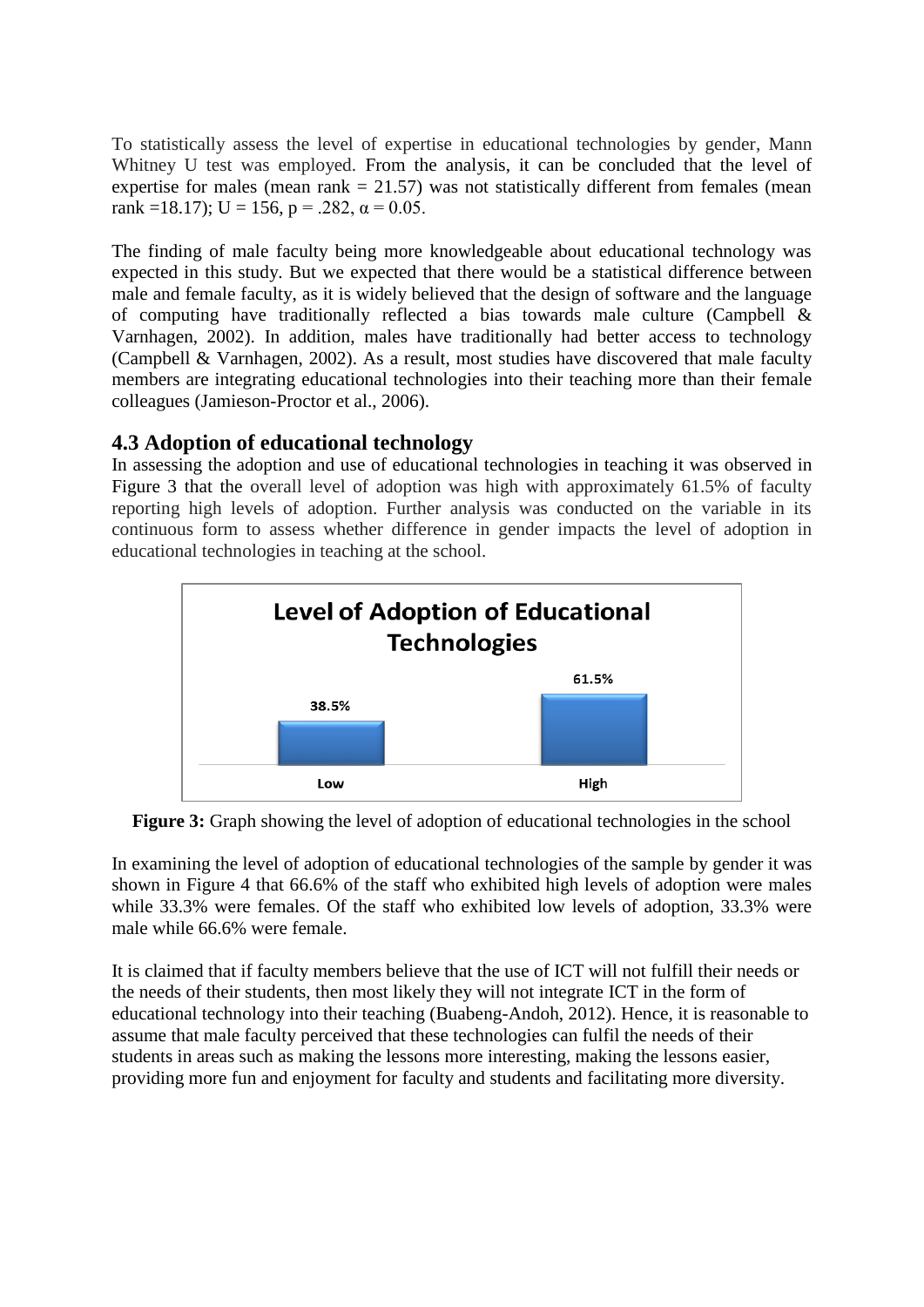To statistically assess the level of expertise in educational technologies by gender, Mann Whitney U test was employed. From the analysis, it can be concluded that the level of expertise for males (mean rank  $= 21.57$ ) was not statistically different from females (mean rank =18.17); U = 156, p = .282,  $\alpha$  = 0.05.

The finding of male faculty being more knowledgeable about educational technology was expected in this study. But we expected that there would be a statistical difference between male and female faculty, as it is widely believed that the design of software and the language of computing have traditionally reflected a bias towards male culture (Campbell & Varnhagen, 2002). In addition, males have traditionally had better access to technology (Campbell & Varnhagen, 2002). As a result, most studies have discovered that male faculty members are integrating educational technologies into their teaching more than their female colleagues (Jamieson-Proctor et al., 2006).

#### **4.3 Adoption of educational technology**

In assessing the adoption and use of educational technologies in teaching it was observed in Figure 3 that the overall level of adoption was high with approximately 61.5% of faculty reporting high levels of adoption. Further analysis was conducted on the variable in its continuous form to assess whether difference in gender impacts the level of adoption in educational technologies in teaching at the school.



**Figure 3:** Graph showing the level of adoption of educational technologies in the school

In examining the level of adoption of educational technologies of the sample by gender it was shown in Figure 4 that 66.6% of the staff who exhibited high levels of adoption were males while 33.3% were females. Of the staff who exhibited low levels of adoption, 33.3% were male while 66.6% were female.

It is claimed that if faculty members believe that the use of ICT will not fulfill their needs or the needs of their students, then most likely they will not integrate ICT in the form of educational technology into their teaching (Buabeng-Andoh, 2012). Hence, it is reasonable to assume that male faculty perceived that these technologies can fulfil the needs of their students in areas such as making the lessons more interesting, making the lessons easier, providing more fun and enjoyment for faculty and students and facilitating more diversity.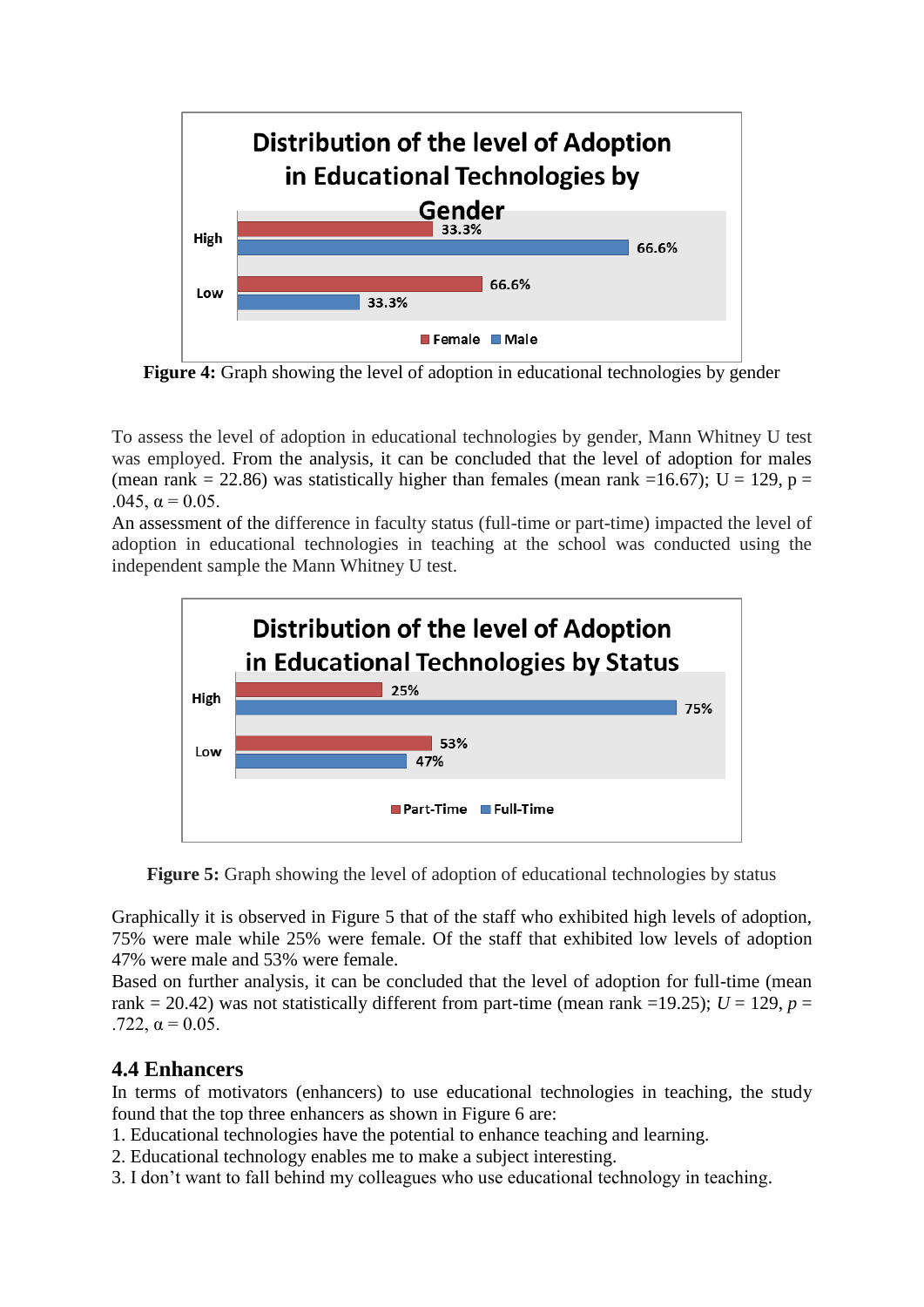

**Figure 4:** Graph showing the level of adoption in educational technologies by gender

To assess the level of adoption in educational technologies by gender, Mann Whitney U test was employed. From the analysis, it can be concluded that the level of adoption for males (mean rank = 22.86) was statistically higher than females (mean rank = 16.67); U = 129, p = .045,  $\alpha = 0.05$ .

An assessment of the difference in faculty status (full-time or part-time) impacted the level of adoption in educational technologies in teaching at the school was conducted using the independent sample the Mann Whitney U test.



**Figure 5:** Graph showing the level of adoption of educational technologies by status

Graphically it is observed in Figure 5 that of the staff who exhibited high levels of adoption, 75% were male while 25% were female. Of the staff that exhibited low levels of adoption 47% were male and 53% were female.

Based on further analysis, it can be concluded that the level of adoption for full-time (mean rank = 20.42) was not statistically different from part-time (mean rank =19.25);  $U = 129$ ,  $p =$ .722,  $α = 0.05$ .

#### **4.4 Enhancers**

In terms of motivators (enhancers) to use educational technologies in teaching, the study found that the top three enhancers as shown in Figure 6 are:

- 1. Educational technologies have the potential to enhance teaching and learning.
- 2. Educational technology enables me to make a subject interesting.
- 3. I don't want to fall behind my colleagues who use educational technology in teaching.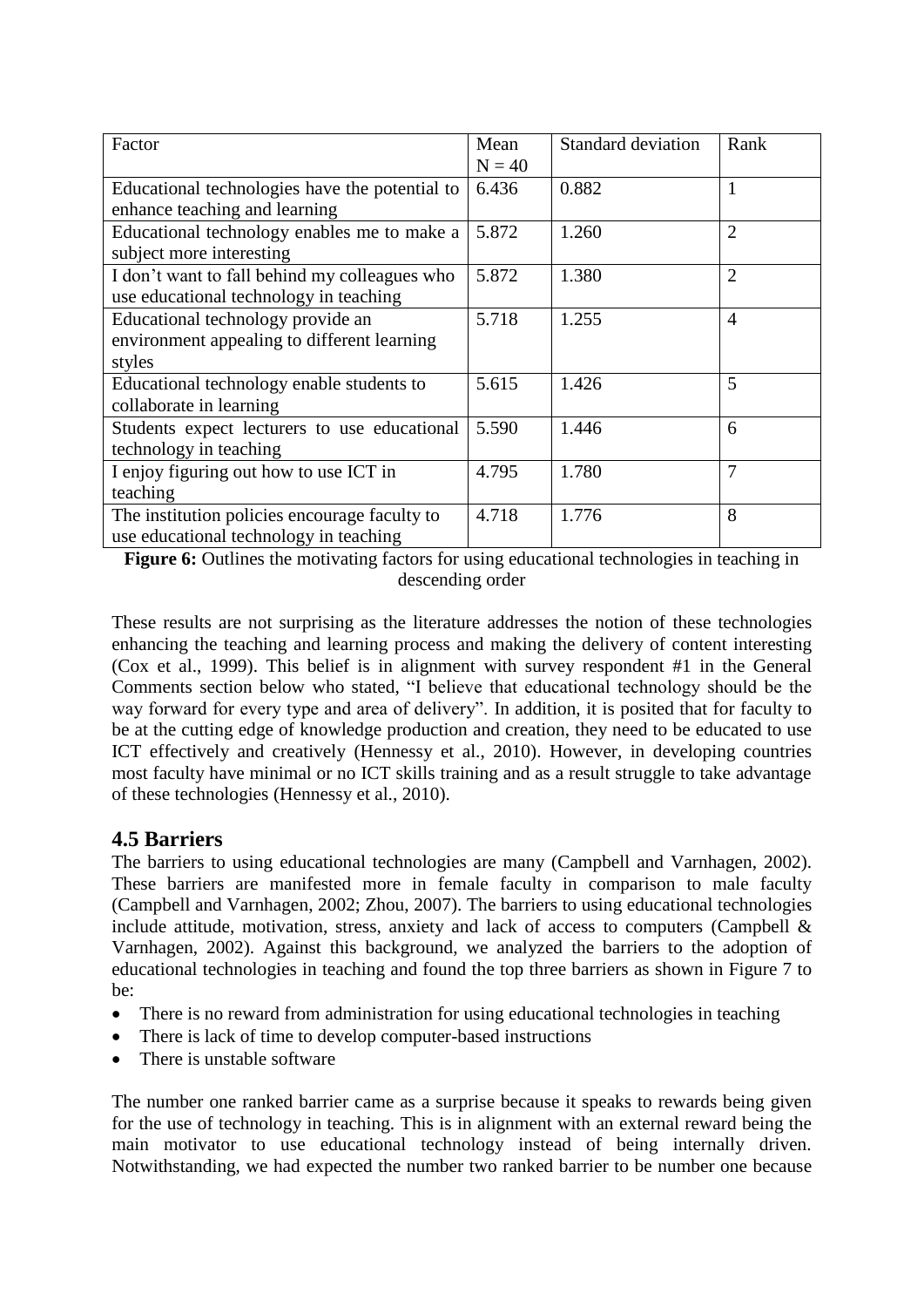| Factor                                         | Mean     | <b>Standard deviation</b> | Rank           |
|------------------------------------------------|----------|---------------------------|----------------|
|                                                | $N = 40$ |                           |                |
| Educational technologies have the potential to | 6.436    | 0.882                     | 1              |
| enhance teaching and learning                  |          |                           |                |
| Educational technology enables me to make a    | 5.872    | 1.260                     | $\overline{2}$ |
| subject more interesting                       |          |                           |                |
| I don't want to fall behind my colleagues who  | 5.872    | 1.380                     | $\overline{2}$ |
| use educational technology in teaching         |          |                           |                |
| Educational technology provide an              | 5.718    | 1.255                     | $\overline{4}$ |
| environment appealing to different learning    |          |                           |                |
| styles                                         |          |                           |                |
| Educational technology enable students to      | 5.615    | 1.426                     | 5              |
| collaborate in learning                        |          |                           |                |
| Students expect lecturers to use educational   | 5.590    | 1.446                     | 6              |
| technology in teaching                         |          |                           |                |
| I enjoy figuring out how to use ICT in         | 4.795    | 1.780                     | 7              |
| teaching                                       |          |                           |                |
| The institution policies encourage faculty to  | 4.718    | 1.776                     | 8              |
| use educational technology in teaching         |          |                           |                |

**Figure 6:** Outlines the motivating factors for using educational technologies in teaching in descending order

These results are not surprising as the literature addresses the notion of these technologies enhancing the teaching and learning process and making the delivery of content interesting (Cox et al., 1999). This belief is in alignment with survey respondent #1 in the General Comments section below who stated, "I believe that educational technology should be the way forward for every type and area of delivery". In addition, it is posited that for faculty to be at the cutting edge of knowledge production and creation, they need to be educated to use ICT effectively and creatively (Hennessy et al., 2010). However, in developing countries most faculty have minimal or no ICT skills training and as a result struggle to take advantage of these technologies (Hennessy et al., 2010).

#### **4.5 Barriers**

The barriers to using educational technologies are many (Campbell and Varnhagen, 2002). These barriers are manifested more in female faculty in comparison to male faculty (Campbell and Varnhagen, 2002; Zhou, 2007). The barriers to using educational technologies include attitude, motivation, stress, anxiety and lack of access to computers (Campbell & Varnhagen, 2002). Against this background, we analyzed the barriers to the adoption of educational technologies in teaching and found the top three barriers as shown in Figure 7 to be:

- There is no reward from administration for using educational technologies in teaching
- There is lack of time to develop computer-based instructions
- There is unstable software

The number one ranked barrier came as a surprise because it speaks to rewards being given for the use of technology in teaching. This is in alignment with an external reward being the main motivator to use educational technology instead of being internally driven. Notwithstanding, we had expected the number two ranked barrier to be number one because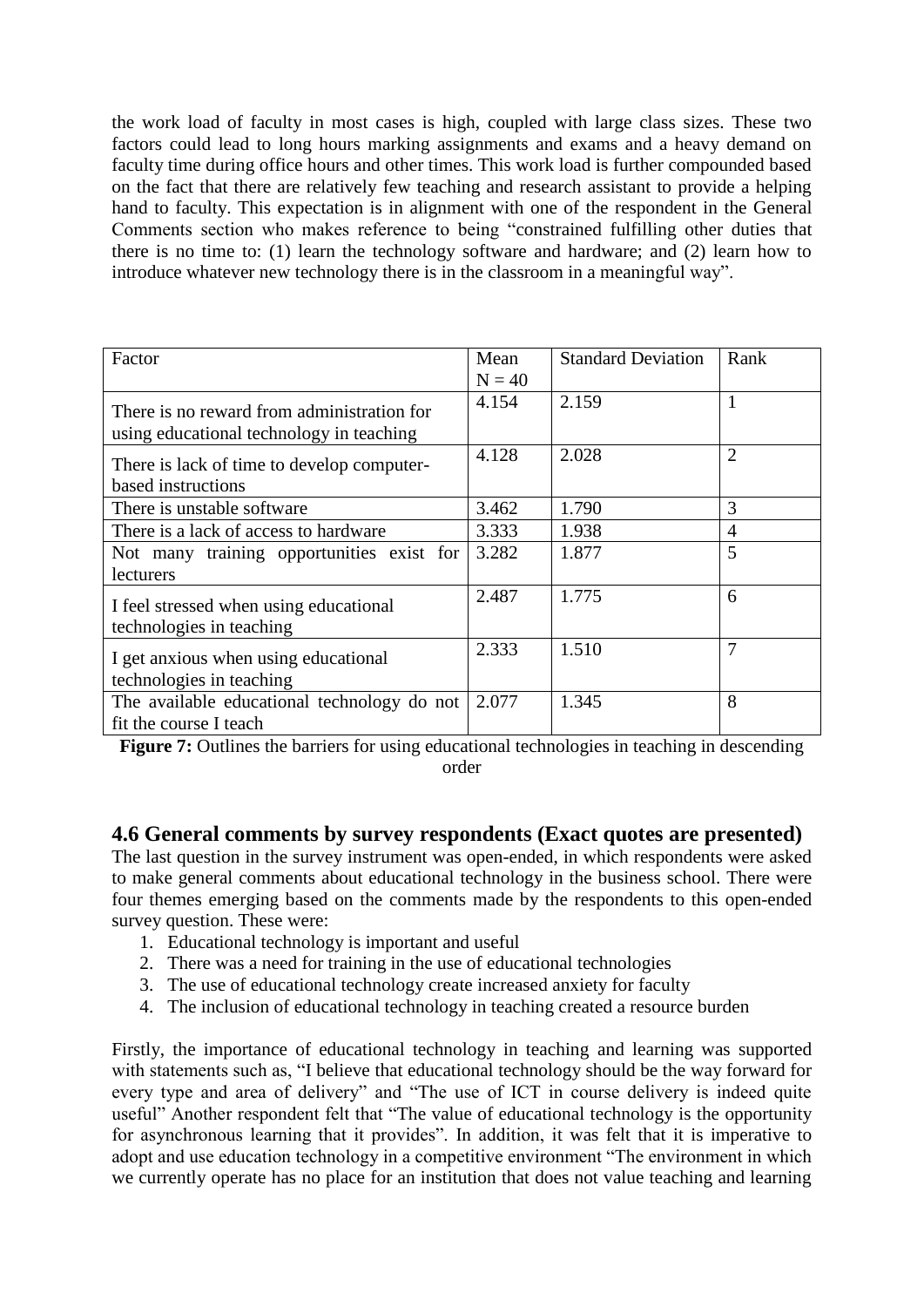the work load of faculty in most cases is high, coupled with large class sizes. These two factors could lead to long hours marking assignments and exams and a heavy demand on faculty time during office hours and other times. This work load is further compounded based on the fact that there are relatively few teaching and research assistant to provide a helping hand to faculty. This expectation is in alignment with one of the respondent in the General Comments section who makes reference to being "constrained fulfilling other duties that there is no time to: (1) learn the technology software and hardware; and (2) learn how to introduce whatever new technology there is in the classroom in a meaningful way".

| Factor                                                                                 | Mean     | <b>Standard Deviation</b> | Rank           |
|----------------------------------------------------------------------------------------|----------|---------------------------|----------------|
|                                                                                        | $N = 40$ |                           |                |
| There is no reward from administration for<br>using educational technology in teaching | 4.154    | 2.159                     |                |
| There is lack of time to develop computer-<br>based instructions                       | 4.128    | 2.028                     | $\overline{2}$ |
| There is unstable software                                                             | 3.462    | 1.790                     | 3              |
| There is a lack of access to hardware                                                  | 3.333    | 1.938                     | 4              |
| Not many training opportunities exist for<br>lecturers                                 | 3.282    | 1.877                     | 5              |
| I feel stressed when using educational<br>technologies in teaching                     | 2.487    | 1.775                     | 6              |
| I get anxious when using educational<br>technologies in teaching                       | 2.333    | 1.510                     | $\overline{7}$ |
| The available educational technology do not<br>fit the course I teach                  | 2.077    | 1.345                     | 8              |

**Figure 7:** Outlines the barriers for using educational technologies in teaching in descending order

#### **4.6 General comments by survey respondents (Exact quotes are presented)**

The last question in the survey instrument was open-ended, in which respondents were asked to make general comments about educational technology in the business school. There were four themes emerging based on the comments made by the respondents to this open-ended survey question. These were:

- 1. Educational technology is important and useful
- 2. There was a need for training in the use of educational technologies
- 3. The use of educational technology create increased anxiety for faculty
- 4. The inclusion of educational technology in teaching created a resource burden

Firstly, the importance of educational technology in teaching and learning was supported with statements such as, "I believe that educational technology should be the way forward for every type and area of delivery" and "The use of ICT in course delivery is indeed quite useful" Another respondent felt that "The value of educational technology is the opportunity for asynchronous learning that it provides". In addition, it was felt that it is imperative to adopt and use education technology in a competitive environment "The environment in which we currently operate has no place for an institution that does not value teaching and learning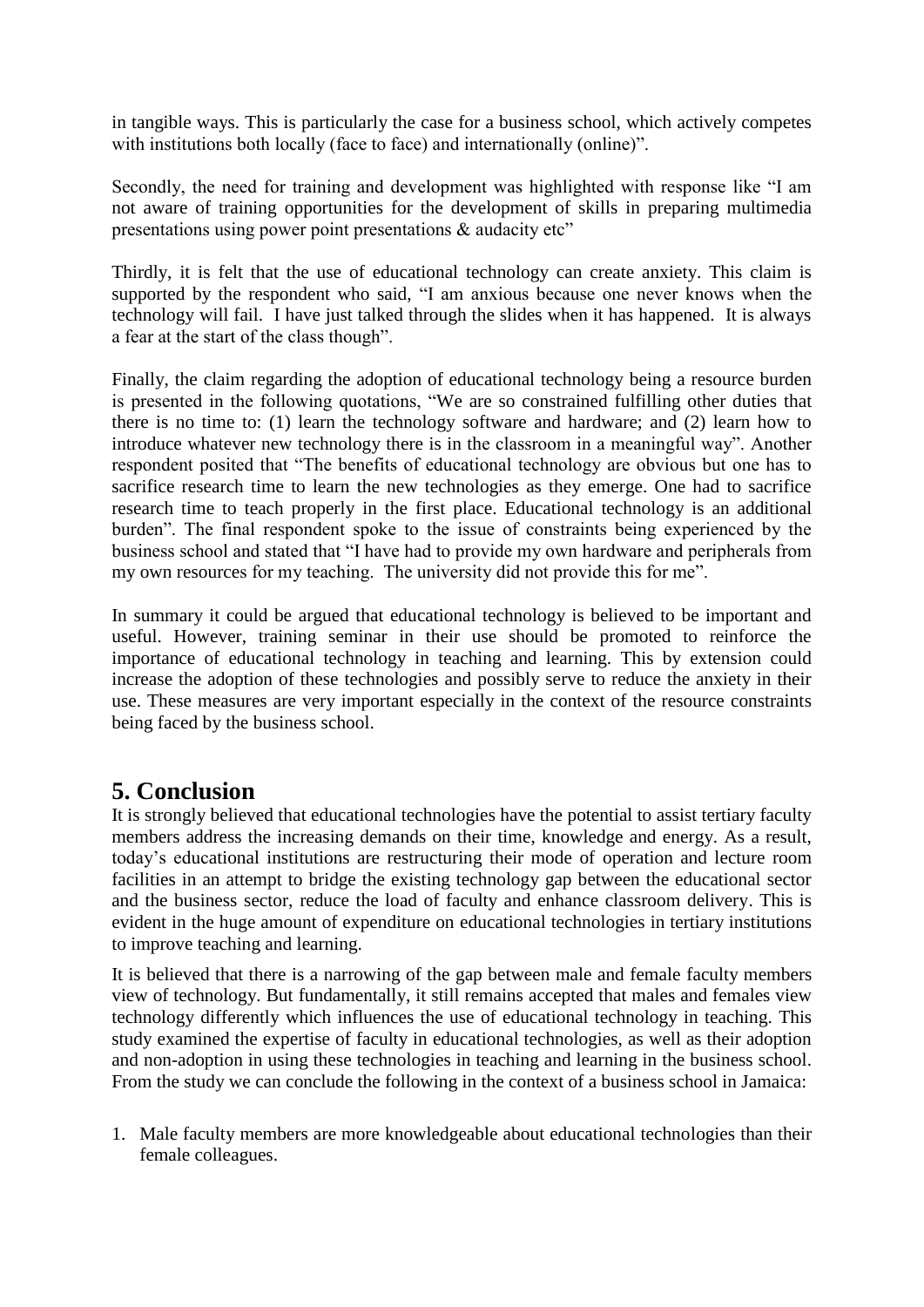in tangible ways. This is particularly the case for a business school, which actively competes with institutions both locally (face to face) and internationally (online)".

Secondly, the need for training and development was highlighted with response like "I am not aware of training opportunities for the development of skills in preparing multimedia presentations using power point presentations & audacity etc"

Thirdly, it is felt that the use of educational technology can create anxiety. This claim is supported by the respondent who said, "I am anxious because one never knows when the technology will fail. I have just talked through the slides when it has happened. It is always a fear at the start of the class though".

Finally, the claim regarding the adoption of educational technology being a resource burden is presented in the following quotations, "We are so constrained fulfilling other duties that there is no time to: (1) learn the technology software and hardware; and (2) learn how to introduce whatever new technology there is in the classroom in a meaningful way". Another respondent posited that "The benefits of educational technology are obvious but one has to sacrifice research time to learn the new technologies as they emerge. One had to sacrifice research time to teach properly in the first place. Educational technology is an additional burden". The final respondent spoke to the issue of constraints being experienced by the business school and stated that "I have had to provide my own hardware and peripherals from my own resources for my teaching. The university did not provide this for me".

In summary it could be argued that educational technology is believed to be important and useful. However, training seminar in their use should be promoted to reinforce the importance of educational technology in teaching and learning. This by extension could increase the adoption of these technologies and possibly serve to reduce the anxiety in their use. These measures are very important especially in the context of the resource constraints being faced by the business school.

### **5. Conclusion**

It is strongly believed that educational technologies have the potential to assist tertiary faculty members address the increasing demands on their time, knowledge and energy. As a result, today's educational institutions are restructuring their mode of operation and lecture room facilities in an attempt to bridge the existing technology gap between the educational sector and the business sector, reduce the load of faculty and enhance classroom delivery. This is evident in the huge amount of expenditure on educational technologies in tertiary institutions to improve teaching and learning.

It is believed that there is a narrowing of the gap between male and female faculty members view of technology. But fundamentally, it still remains accepted that males and females view technology differently which influences the use of educational technology in teaching. This study examined the expertise of faculty in educational technologies, as well as their adoption and non-adoption in using these technologies in teaching and learning in the business school. From the study we can conclude the following in the context of a business school in Jamaica:

1. Male faculty members are more knowledgeable about educational technologies than their female colleagues.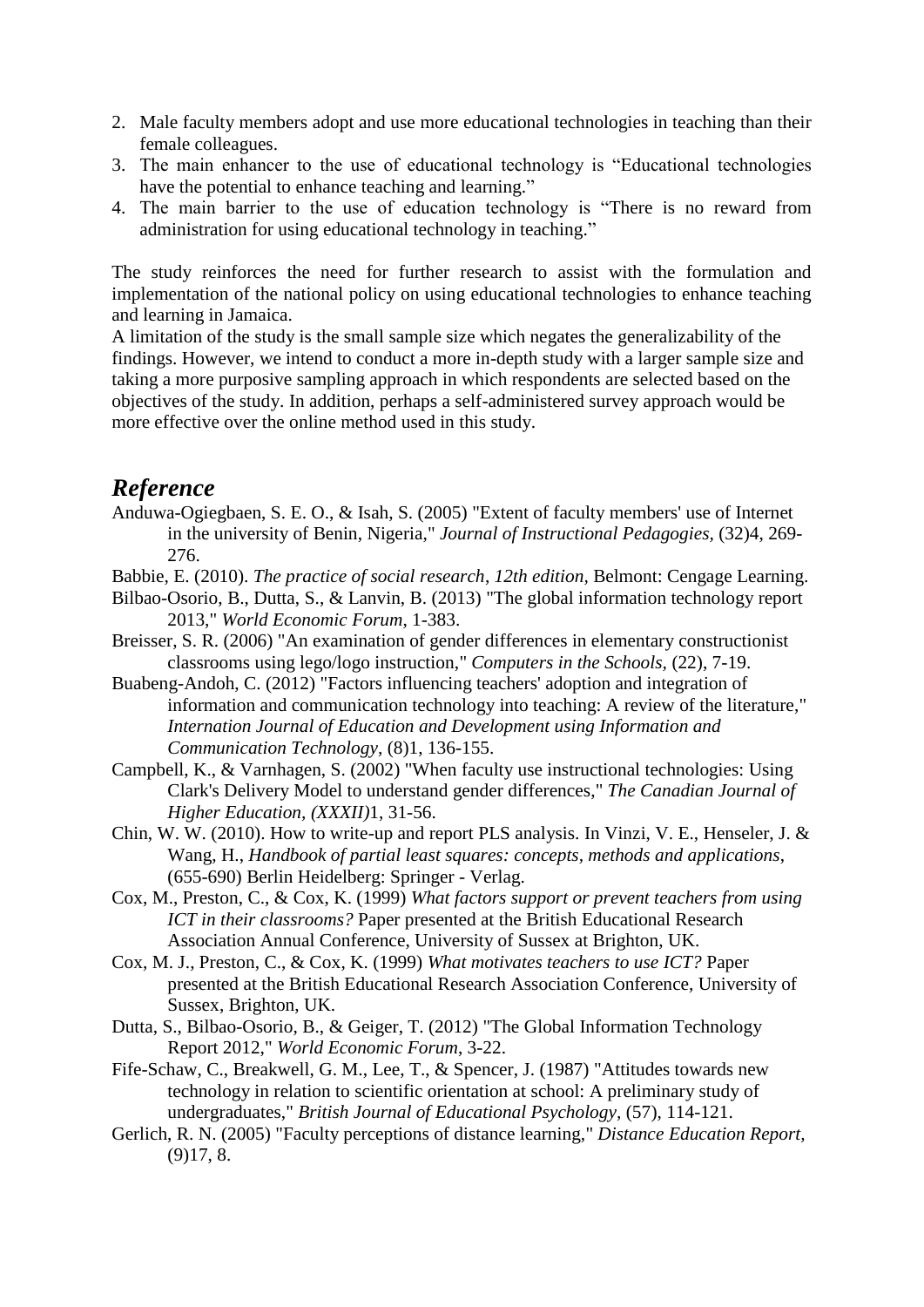- 2. Male faculty members adopt and use more educational technologies in teaching than their female colleagues.
- 3. The main enhancer to the use of educational technology is "Educational technologies have the potential to enhance teaching and learning."
- 4. The main barrier to the use of education technology is "There is no reward from administration for using educational technology in teaching."

The study reinforces the need for further research to assist with the formulation and implementation of the national policy on using educational technologies to enhance teaching and learning in Jamaica.

A limitation of the study is the small sample size which negates the generalizability of the findings. However, we intend to conduct a more in-depth study with a larger sample size and taking a more purposive sampling approach in which respondents are selected based on the objectives of the study. In addition, perhaps a self-administered survey approach would be more effective over the online method used in this study.

#### *Reference*

- Anduwa-Ogiegbaen, S. E. O., & Isah, S. (2005) "Extent of faculty members' use of Internet in the university of Benin, Nigeria," *Journal of Instructional Pedagogies,* (32)4, 269- 276.
- Babbie, E. (2010). *The practice of social research*, *12th edition,* Belmont: Cengage Learning.
- Bilbao-Osorio, B., Dutta, S., & Lanvin, B. (2013) "The global information technology report 2013," *World Economic Forum*, 1-383.
- Breisser, S. R. (2006) "An examination of gender differences in elementary constructionist classrooms using lego/logo instruction," *Computers in the Schools,* (22), 7-19.
- Buabeng-Andoh, C. (2012) "Factors influencing teachers' adoption and integration of information and communication technology into teaching: A review of the literature," *Internation Journal of Education and Development using Information and Communication Technology,* (8)1, 136-155.
- Campbell, K., & Varnhagen, S. (2002) "When faculty use instructional technologies: Using Clark's Delivery Model to understand gender differences," *The Canadian Journal of Higher Education, (XXXII)*1, 31-56.
- Chin, W. W. (2010). How to write-up and report PLS analysis. In Vinzi, V. E., Henseler, J. & Wang, H., *Handbook of partial least squares: concepts, methods and applications*, (655-690) Berlin Heidelberg: Springer - Verlag.
- Cox, M., Preston, C., & Cox, K. (1999) *What factors support or prevent teachers from using ICT in their classrooms?* Paper presented at the British Educational Research Association Annual Conference, University of Sussex at Brighton, UK.
- Cox, M. J., Preston, C., & Cox, K. (1999) *What motivates teachers to use ICT?* Paper presented at the British Educational Research Association Conference, University of Sussex, Brighton, UK.
- Dutta, S., Bilbao-Osorio, B., & Geiger, T. (2012) "The Global Information Technology Report 2012," *World Economic Forum*, 3-22.
- Fife-Schaw, C., Breakwell, G. M., Lee, T., & Spencer, J. (1987) "Attitudes towards new technology in relation to scientific orientation at school: A preliminary study of undergraduates," *British Journal of Educational Psychology,* (57), 114-121.
- Gerlich, R. N. (2005) "Faculty perceptions of distance learning," *Distance Education Report,*  (9)17, 8.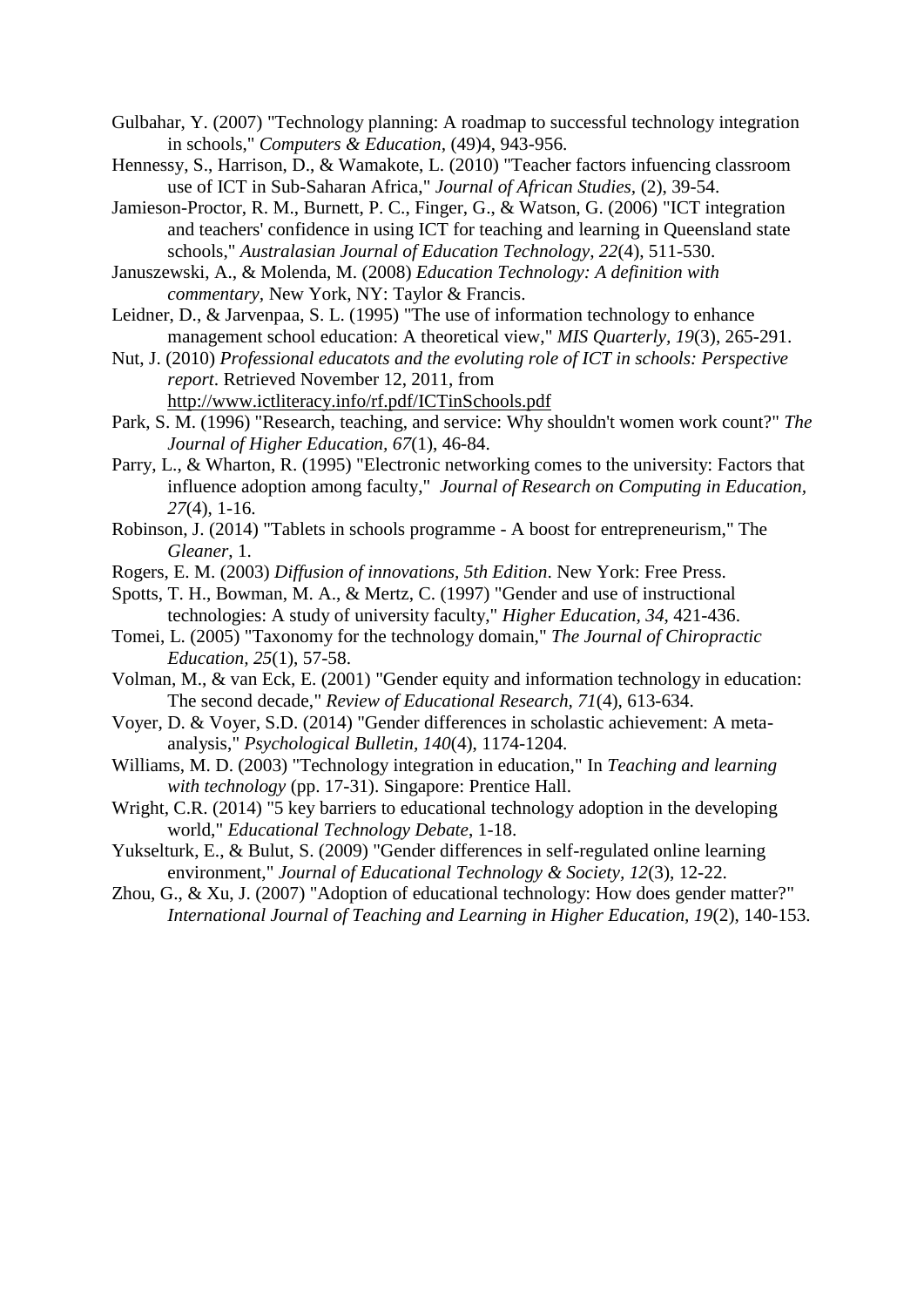- Gulbahar, Y. (2007) "Technology planning: A roadmap to successful technology integration in schools," *Computers & Education,* (49)4, 943-956.
- Hennessy, S., Harrison, D., & Wamakote, L. (2010) "Teacher factors infuencing classroom use of ICT in Sub-Saharan Africa," *Journal of African Studies,* (2), 39-54.
- Jamieson-Proctor, R. M., Burnett, P. C., Finger, G., & Watson, G. (2006) "ICT integration and teachers' confidence in using ICT for teaching and learning in Queensland state schools," *Australasian Journal of Education Technology, 22*(4), 511-530.
- Januszewski, A., & Molenda, M. (2008) *Education Technology: A definition with commentary,* New York, NY: Taylor & Francis.
- Leidner, D., & Jarvenpaa, S. L. (1995) "The use of information technology to enhance management school education: A theoretical view," *MIS Quarterly, 19*(3), 265-291.
- Nut, J. (2010) *Professional educatots and the evoluting role of ICT in schools: Perspective report*. Retrieved November 12, 2011, from
	- <http://www.ictliteracy.info/rf.pdf/ICTinSchools.pdf>
- Park, S. M. (1996) "Research, teaching, and service: Why shouldn't women work count?" *The Journal of Higher Education, 67*(1), 46-84.
- Parry, L., & Wharton, R. (1995) "Electronic networking comes to the university: Factors that influence adoption among faculty," *Journal of Research on Computing in Education, 27*(4), 1-16.
- Robinson, J. (2014) "Tablets in schools programme A boost for entrepreneurism," The *Gleaner*, 1.
- Rogers, E. M. (2003) *Diffusion of innovations, 5th Edition*. New York: Free Press.
- Spotts, T. H., Bowman, M. A., & Mertz, C. (1997) "Gender and use of instructional technologies: A study of university faculty," *Higher Education, 34*, 421-436.
- Tomei, L. (2005) "Taxonomy for the technology domain," *The Journal of Chiropractic Education, 25*(1), 57-58.
- Volman, M., & van Eck, E. (2001) "Gender equity and information technology in education: The second decade," *Review of Educational Research, 71*(4), 613-634.
- Voyer, D. & Voyer, S.D. (2014) "Gender differences in scholastic achievement: A metaanalysis," *Psychological Bulletin, 140*(4), 1174-1204.
- Williams, M. D. (2003) "Technology integration in education," In *Teaching and learning with technology* (pp. 17-31). Singapore: Prentice Hall.
- Wright, C.R. (2014) "5 key barriers to educational technology adoption in the developing world," *Educational Technology Debate*, 1-18.
- Yukselturk, E., & Bulut, S. (2009) "Gender differences in self-regulated online learning environment," *Journal of Educational Technology & Society, 12*(3), 12-22.
- Zhou, G., & Xu, J. (2007) "Adoption of educational technology: How does gender matter?" *International Journal of Teaching and Learning in Higher Education, 19*(2), 140-153.